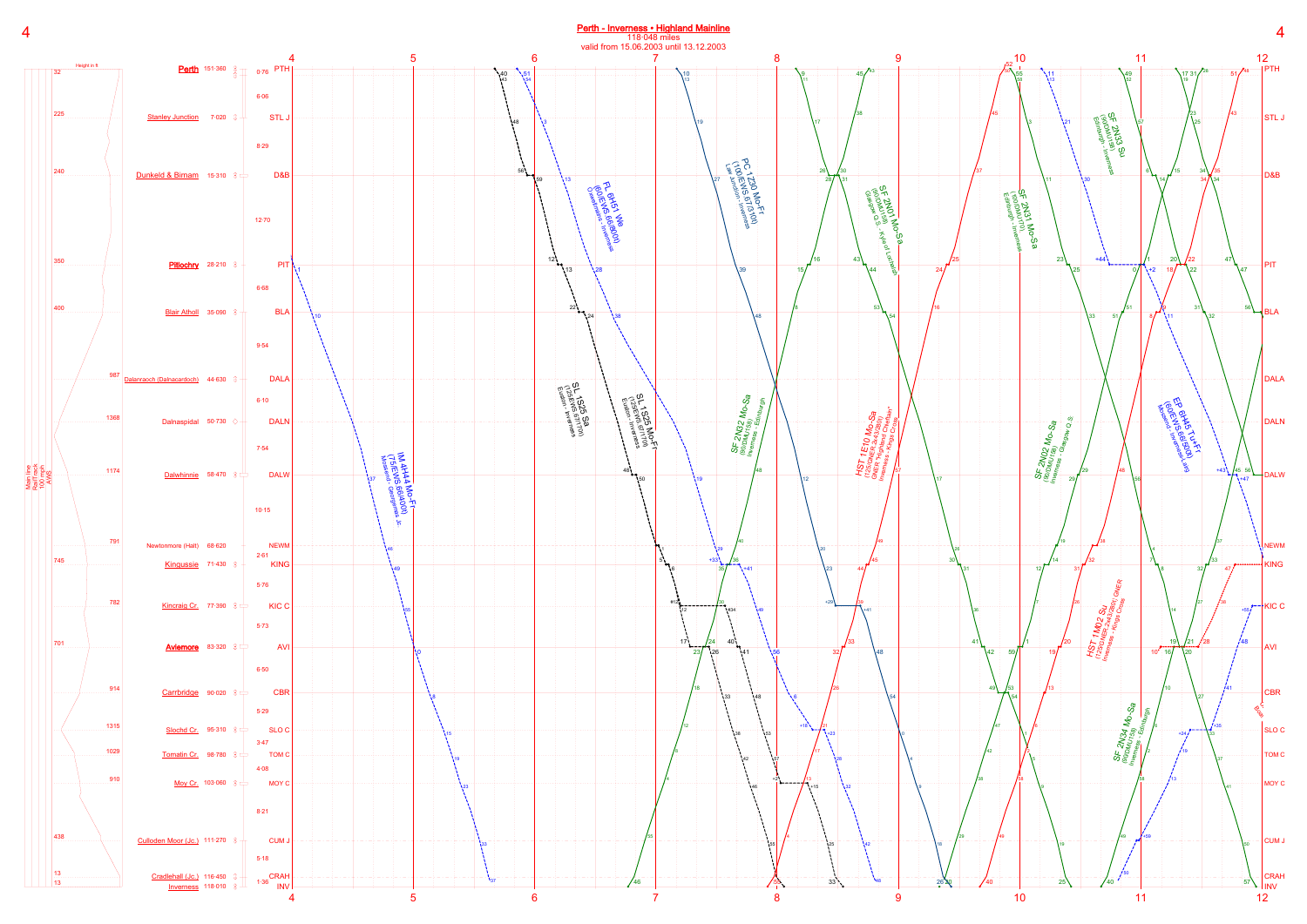## Perth - Inverness · Highland Mainline

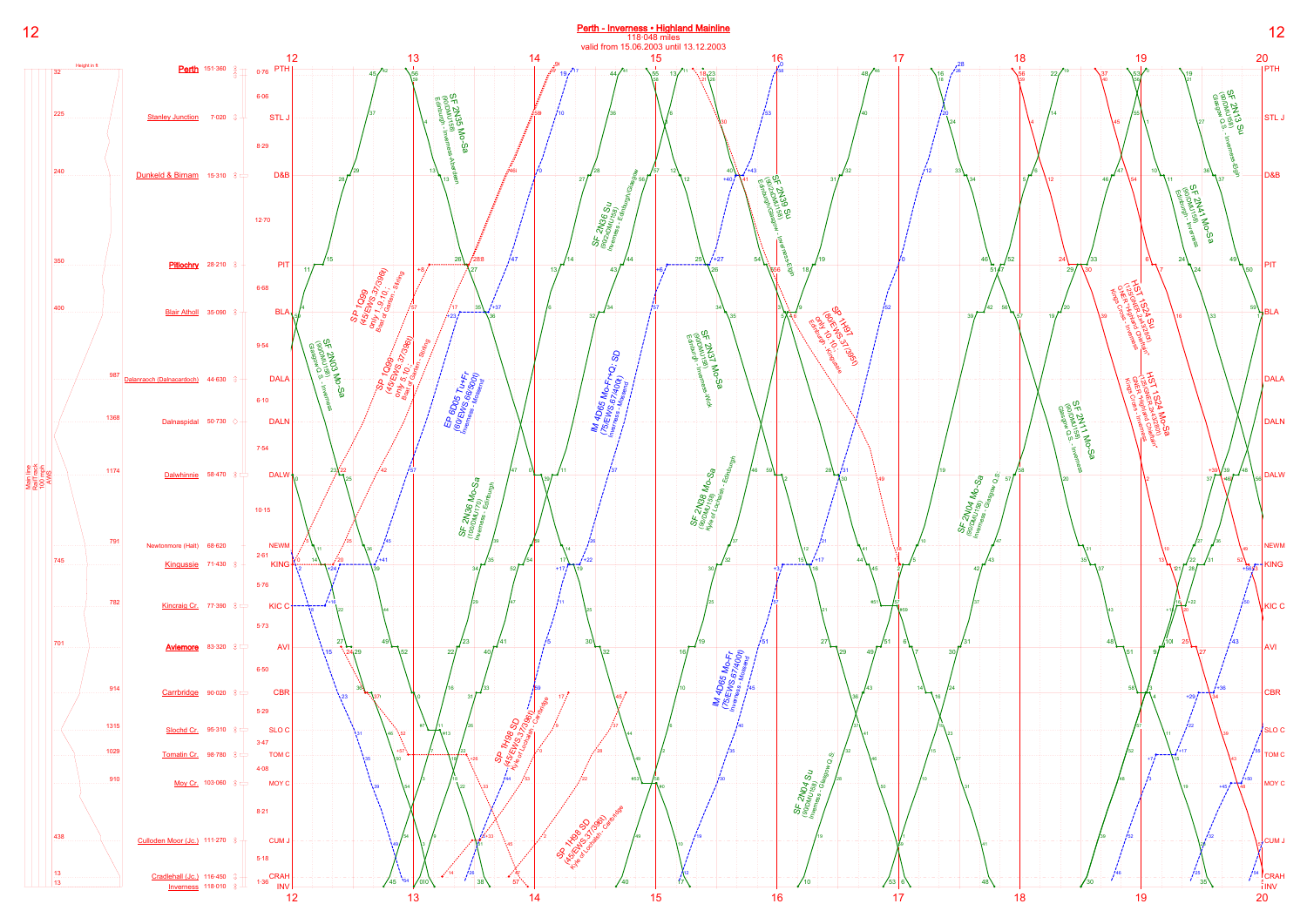

12 Perth - Inverness • Highland Mainline